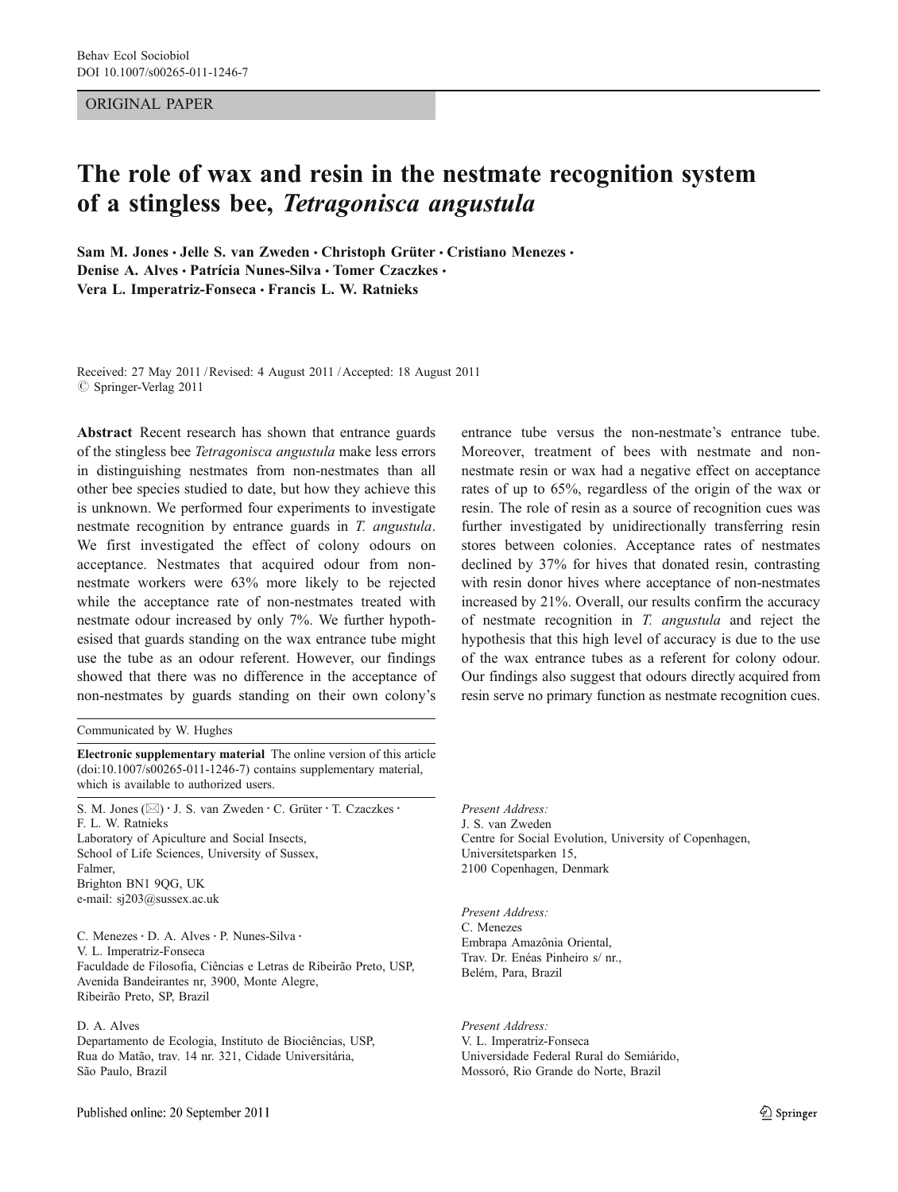### ORIGINAL PAPER

# The role of wax and resin in the nestmate recognition system of a stingless bee, Tetragonisca angustula

Sam M. Jones · Jelle S. van Zweden · Christoph Grüter · Cristiano Menezes · Denise A. Alves · Patrícia Nunes-Silva · Tomer Czaczkes · Vera L. Imperatriz-Fonseca · Francis L. W. Ratnieks

Received: 27 May 2011 /Revised: 4 August 2011 /Accepted: 18 August 2011  $©$  Springer-Verlag 2011

Abstract Recent research has shown that entrance guards of the stingless bee Tetragonisca angustula make less errors in distinguishing nestmates from non-nestmates than all other bee species studied to date, but how they achieve this is unknown. We performed four experiments to investigate nestmate recognition by entrance guards in T. angustula. We first investigated the effect of colony odours on acceptance. Nestmates that acquired odour from nonnestmate workers were 63% more likely to be rejected while the acceptance rate of non-nestmates treated with nestmate odour increased by only 7%. We further hypothesised that guards standing on the wax entrance tube might use the tube as an odour referent. However, our findings showed that there was no difference in the acceptance of non-nestmates by guards standing on their own colony's

Communicated by W. Hughes

Electronic supplementary material The online version of this article (doi:[10.1007/s00265-011-1246-7\)](http://dx.doi.org/10.1007/s00265-011-1246-7) contains supplementary material, which is available to authorized users.

S. M. Jones ( $\boxtimes$ ) · J. S. van Zweden · C. Grüter · T. Czaczkes · F. L. W. Ratnieks Laboratory of Apiculture and Social Insects, School of Life Sciences, University of Sussex, Falmer, Brighton BN1 9QG, UK e-mail: sj203@sussex.ac.uk

C. Menezes · D. A. Alves · P. Nunes-Silva · V. L. Imperatriz-Fonseca Faculdade de Filosofia, Ciências e Letras de Ribeirão Preto, USP, Avenida Bandeirantes nr, 3900, Monte Alegre, Ribeirão Preto, SP, Brazil

## D. A. Alves

Departamento de Ecologia, Instituto de Biociências, USP, Rua do Matão, trav. 14 nr. 321, Cidade Universitária, São Paulo, Brazil

entrance tube versus the non-nestmate's entrance tube. Moreover, treatment of bees with nestmate and nonnestmate resin or wax had a negative effect on acceptance rates of up to 65%, regardless of the origin of the wax or resin. The role of resin as a source of recognition cues was further investigated by unidirectionally transferring resin stores between colonies. Acceptance rates of nestmates declined by 37% for hives that donated resin, contrasting with resin donor hives where acceptance of non-nestmates increased by 21%. Overall, our results confirm the accuracy of nestmate recognition in T. angustula and reject the hypothesis that this high level of accuracy is due to the use of the wax entrance tubes as a referent for colony odour. Our findings also suggest that odours directly acquired from resin serve no primary function as nestmate recognition cues.

Present Address: J. S. van Zweden Centre for Social Evolution, University of Copenhagen, Universitetsparken 15, 2100 Copenhagen, Denmark

Present Address: C. Menezes Embrapa Amazônia Oriental, Trav. Dr. Enéas Pinheiro s/ nr., Belém, Para, Brazil

Present Address: V. L. Imperatriz-Fonseca Universidade Federal Rural do Semiárido, Mossoró, Rio Grande do Norte, Brazil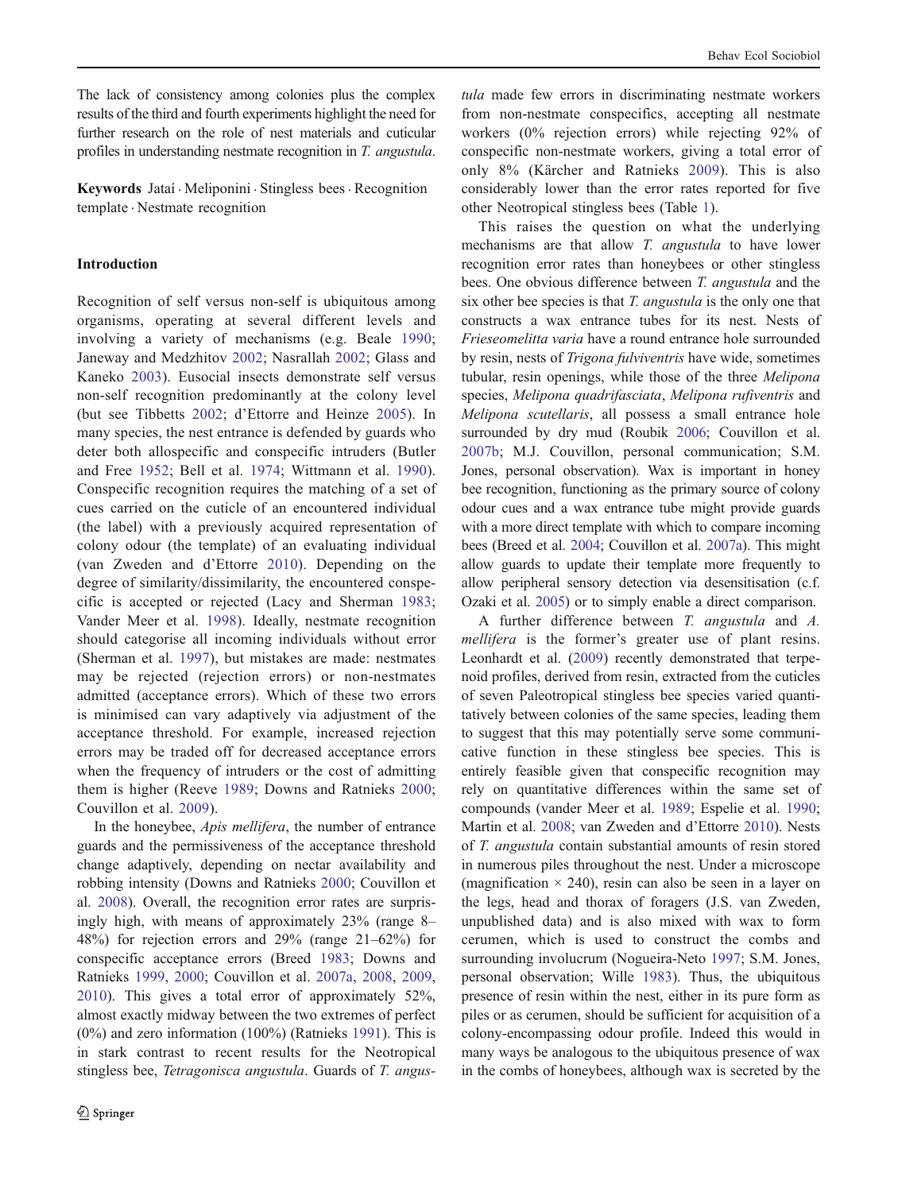The lack of consistency among colonies plus the complex results of the third and fourth experiments highlight the need for further research on the role of nest materials and cuticular profiles in understanding nestmate recognition in T. angustula.

Keywords Jataí . Meliponini . Stingless bees. Recognition template . Nestmate recognition

## Introduction

Recognition of self versus non-self is ubiquitous among organisms, operating at several different levels and involving a variety of mechanisms (e.g. Beale [1990](#page-9-0); Janeway and Medzhitov [2002;](#page-10-0) Nasrallah [2002;](#page-10-0) Glass and Kaneko [2003\)](#page-10-0). Eusocial insects demonstrate self versus non-self recognition predominantly at the colony level (but see Tibbetts [2002;](#page-10-0) d'Ettorre and Heinze [2005](#page-10-0)). In many species, the nest entrance is defended by guards who deter both allospecific and conspecific intruders (Butler and Free [1952](#page-9-0); Bell et al. [1974](#page-9-0); Wittmann et al. [1990](#page-11-0)). Conspecific recognition requires the matching of a set of cues carried on the cuticle of an encountered individual (the label) with a previously acquired representation of colony odour (the template) of an evaluating individual (van Zweden and d'Ettorre [2010\)](#page-10-0). Depending on the degree of similarity/dissimilarity, the encountered conspecific is accepted or rejected (Lacy and Sherman [1983](#page-10-0); Vander Meer et al. [1998](#page-11-0)). Ideally, nestmate recognition should categorise all incoming individuals without error (Sherman et al. [1997](#page-10-0)), but mistakes are made: nestmates may be rejected (rejection errors) or non-nestmates admitted (acceptance errors). Which of these two errors is minimised can vary adaptively via adjustment of the acceptance threshold. For example, increased rejection errors may be traded off for decreased acceptance errors when the frequency of intruders or the cost of admitting them is higher (Reeve [1989;](#page-10-0) Downs and Ratnieks [2000](#page-10-0); Couvillon et al. [2009](#page-10-0)).

In the honeybee, Apis mellifera, the number of entrance guards and the permissiveness of the acceptance threshold change adaptively, depending on nectar availability and robbing intensity (Downs and Ratnieks [2000;](#page-10-0) Couvillon et al. [2008\)](#page-10-0). Overall, the recognition error rates are surprisingly high, with means of approximately 23% (range 8– 48%) for rejection errors and 29% (range 21–62%) for conspecific acceptance errors (Breed [1983](#page-9-0); Downs and Ratnieks [1999](#page-10-0), [2000;](#page-10-0) Couvillon et al. [2007a](#page-10-0), [2008](#page-10-0), [2009,](#page-10-0) [2010\)](#page-10-0). This gives a total error of approximately 52%, almost exactly midway between the two extremes of perfect (0%) and zero information (100%) (Ratnieks [1991](#page-10-0)). This is in stark contrast to recent results for the Neotropical stingless bee, Tetragonisca angustula. Guards of T. angus-

tula made few errors in discriminating nestmate workers from non-nestmate conspecifics, accepting all nestmate workers (0% rejection errors) while rejecting 92% of conspecific non-nestmate workers, giving a total error of only 8% (Kärcher and Ratnieks [2009\)](#page-10-0). This is also considerably lower than the error rates reported for five other Neotropical stingless bees (Table [1](#page-2-0)).

This raises the question on what the underlying mechanisms are that allow T. angustula to have lower recognition error rates than honeybees or other stingless bees. One obvious difference between T. angustula and the six other bee species is that T. angustula is the only one that constructs a wax entrance tubes for its nest. Nests of Frieseomelitta varia have a round entrance hole surrounded by resin, nests of Trigona fulviventris have wide, sometimes tubular, resin openings, while those of the three *Melipona* species, Melipona quadrifasciata, Melipona rufiventris and Melipona scutellaris, all possess a small entrance hole surrounded by dry mud (Roubik [2006](#page-10-0); Couvillon et al. [2007b](#page-10-0); M.J. Couvillon, personal communication; S.M. Jones, personal observation). Wax is important in honey bee recognition, functioning as the primary source of colony odour cues and a wax entrance tube might provide guards with a more direct template with which to compare incoming bees (Breed et al. [2004](#page-9-0); Couvillon et al. [2007a](#page-10-0)). This might allow guards to update their template more frequently to allow peripheral sensory detection via desensitisation (c.f. Ozaki et al. [2005\)](#page-10-0) or to simply enable a direct comparison.

A further difference between T. angustula and A. mellifera is the former's greater use of plant resins. Leonhardt et al. [\(2009](#page-10-0)) recently demonstrated that terpenoid profiles, derived from resin, extracted from the cuticles of seven Paleotropical stingless bee species varied quantitatively between colonies of the same species, leading them to suggest that this may potentially serve some communicative function in these stingless bee species. This is entirely feasible given that conspecific recognition may rely on quantitative differences within the same set of compounds (vander Meer et al. [1989](#page-10-0); Espelie et al. [1990;](#page-10-0) Martin et al. [2008;](#page-10-0) van Zweden and d'Ettorre [2010](#page-10-0)). Nests of T. angustula contain substantial amounts of resin stored in numerous piles throughout the nest. Under a microscope (magnification  $\times$  240), resin can also be seen in a layer on the legs, head and thorax of foragers (J.S. van Zweden, unpublished data) and is also mixed with wax to form cerumen, which is used to construct the combs and surrounding involucrum (Nogueira-Neto [1997](#page-10-0); S.M. Jones, personal observation; Wille [1983](#page-11-0)). Thus, the ubiquitous presence of resin within the nest, either in its pure form as piles or as cerumen, should be sufficient for acquisition of a colony-encompassing odour profile. Indeed this would in many ways be analogous to the ubiquitous presence of wax in the combs of honeybees, although wax is secreted by the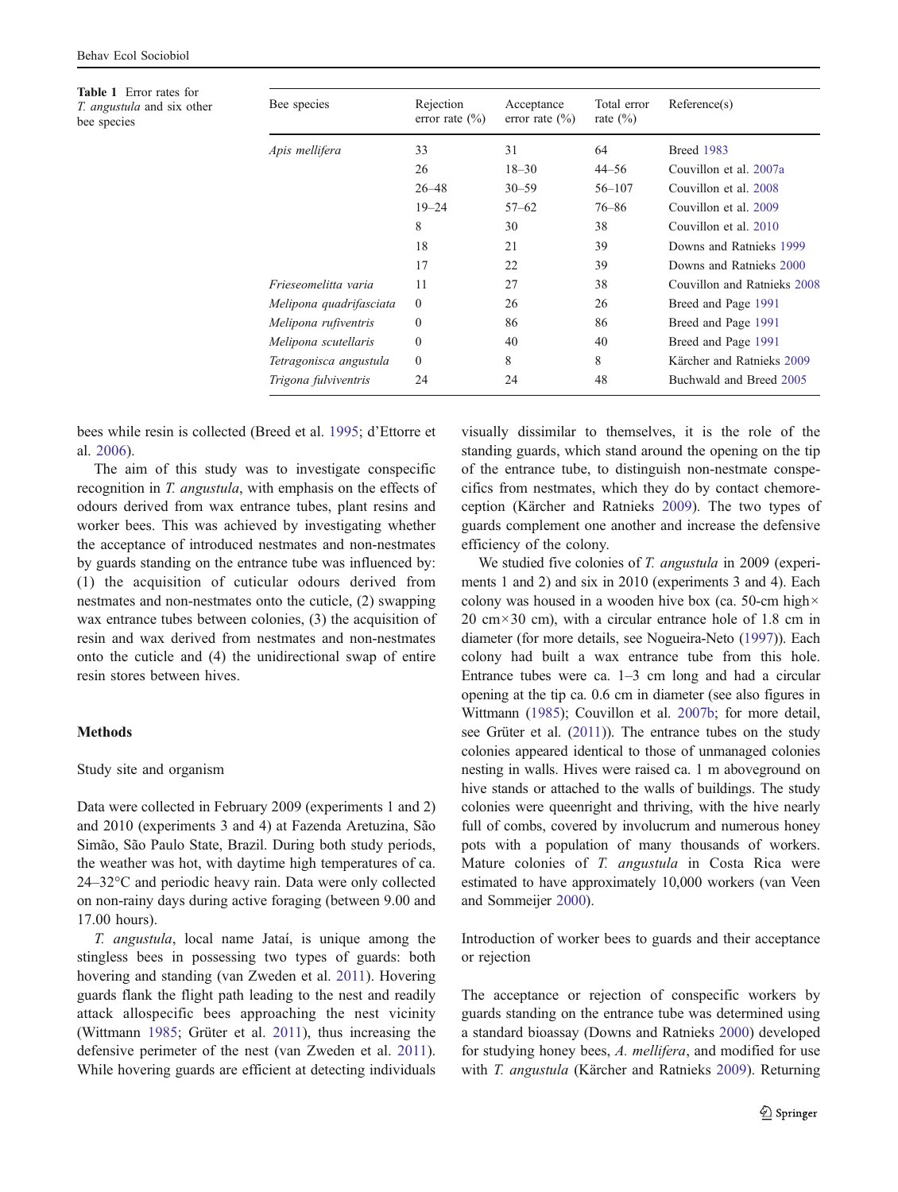<span id="page-2-0"></span>Table 1 Error rates for T. angustula and six other bee species

| Bee species             | Rejection<br>error rate $(\% )$ | Acceptance<br>error rate $(\% )$ | Total error<br>rate $(\% )$ | Reference(s)                |
|-------------------------|---------------------------------|----------------------------------|-----------------------------|-----------------------------|
| Apis mellifera          | 33                              | 31                               | 64                          | <b>Breed 1983</b>           |
|                         | 26                              | $18 - 30$                        | $44 - 56$                   | Couvillon et al. 2007a      |
|                         | $26 - 48$                       | $30 - 59$                        | $56 - 107$                  | Couvillon et al. 2008       |
|                         | $19 - 24$                       | $57 - 62$                        | $76 - 86$                   | Couvillon et al. 2009       |
|                         | 8                               | 30                               | 38                          | Couvillon et al. 2010       |
|                         | 18                              | 21                               | 39                          | Downs and Ratnieks 1999     |
|                         | 17                              | 22                               | 39                          | Downs and Ratnieks 2000     |
| Frieseomelitta varia    | 11                              | 27                               | 38                          | Couvillon and Ratnieks 2008 |
| Melipona quadrifasciata | $\theta$                        | 26                               | 26                          | Breed and Page 1991         |
| Melipona rufiventris    | $\theta$                        | 86                               | 86                          | Breed and Page 1991         |
| Melipona scutellaris    | $\theta$                        | 40                               | 40                          | Breed and Page 1991         |
| Tetragonisca angustula  | $\mathbf{0}$                    | 8                                | 8                           | Kärcher and Ratnieks 2009   |
| Trigona fulviventris    | 24                              | 24                               | 48                          | Buchwald and Breed 2005     |
|                         |                                 |                                  |                             |                             |

bees while resin is collected (Breed et al. [1995](#page-9-0); d'Ettorre et al. [2006\)](#page-10-0).

The aim of this study was to investigate conspecific recognition in T. angustula, with emphasis on the effects of odours derived from wax entrance tubes, plant resins and worker bees. This was achieved by investigating whether the acceptance of introduced nestmates and non-nestmates by guards standing on the entrance tube was influenced by: (1) the acquisition of cuticular odours derived from nestmates and non-nestmates onto the cuticle, (2) swapping wax entrance tubes between colonies, (3) the acquisition of resin and wax derived from nestmates and non-nestmates onto the cuticle and (4) the unidirectional swap of entire resin stores between hives.

## Methods

### Study site and organism

Data were collected in February 2009 (experiments 1 and 2) and 2010 (experiments 3 and 4) at Fazenda Aretuzina, São Simão, São Paulo State, Brazil. During both study periods, the weather was hot, with daytime high temperatures of ca. 24–32°C and periodic heavy rain. Data were only collected on non-rainy days during active foraging (between 9.00 and 17.00 hours).

T. angustula, local name Jataí, is unique among the stingless bees in possessing two types of guards: both hovering and standing (van Zweden et al. [2011\)](#page-10-0). Hovering guards flank the flight path leading to the nest and readily attack allospecific bees approaching the nest vicinity (Wittmann [1985;](#page-11-0) Grüter et al. [2011\)](#page-10-0), thus increasing the defensive perimeter of the nest (van Zweden et al. [2011](#page-10-0)). While hovering guards are efficient at detecting individuals visually dissimilar to themselves, it is the role of the standing guards, which stand around the opening on the tip of the entrance tube, to distinguish non-nestmate conspecifics from nestmates, which they do by contact chemoreception (Kärcher and Ratnieks [2009](#page-10-0)). The two types of guards complement one another and increase the defensive efficiency of the colony.

We studied five colonies of T. angustula in 2009 (experiments 1 and 2) and six in 2010 (experiments 3 and 4). Each colony was housed in a wooden hive box (ca. 50-cm high×  $20 \text{ cm} \times 30 \text{ cm}$ , with a circular entrance hole of 1.8 cm in diameter (for more details, see Nogueira-Neto [\(1997](#page-10-0))). Each colony had built a wax entrance tube from this hole. Entrance tubes were ca. 1–3 cm long and had a circular opening at the tip ca. 0.6 cm in diameter (see also figures in Wittmann [\(1985\)](#page-11-0); Couvillon et al. [2007b;](#page-10-0) for more detail, see Grüter et al. ([2011](#page-10-0))). The entrance tubes on the study colonies appeared identical to those of unmanaged colonies nesting in walls. Hives were raised ca. 1 m aboveground on hive stands or attached to the walls of buildings. The study colonies were queenright and thriving, with the hive nearly full of combs, covered by involucrum and numerous honey pots with a population of many thousands of workers. Mature colonies of T. angustula in Costa Rica were estimated to have approximately 10,000 workers (van Veen and Sommeijer [2000\)](#page-10-0).

Introduction of worker bees to guards and their acceptance or rejection

The acceptance or rejection of conspecific workers by guards standing on the entrance tube was determined using a standard bioassay (Downs and Ratnieks [2000](#page-10-0)) developed for studying honey bees, A. mellifera, and modified for use with T. angustula (Kärcher and Ratnieks [2009](#page-10-0)). Returning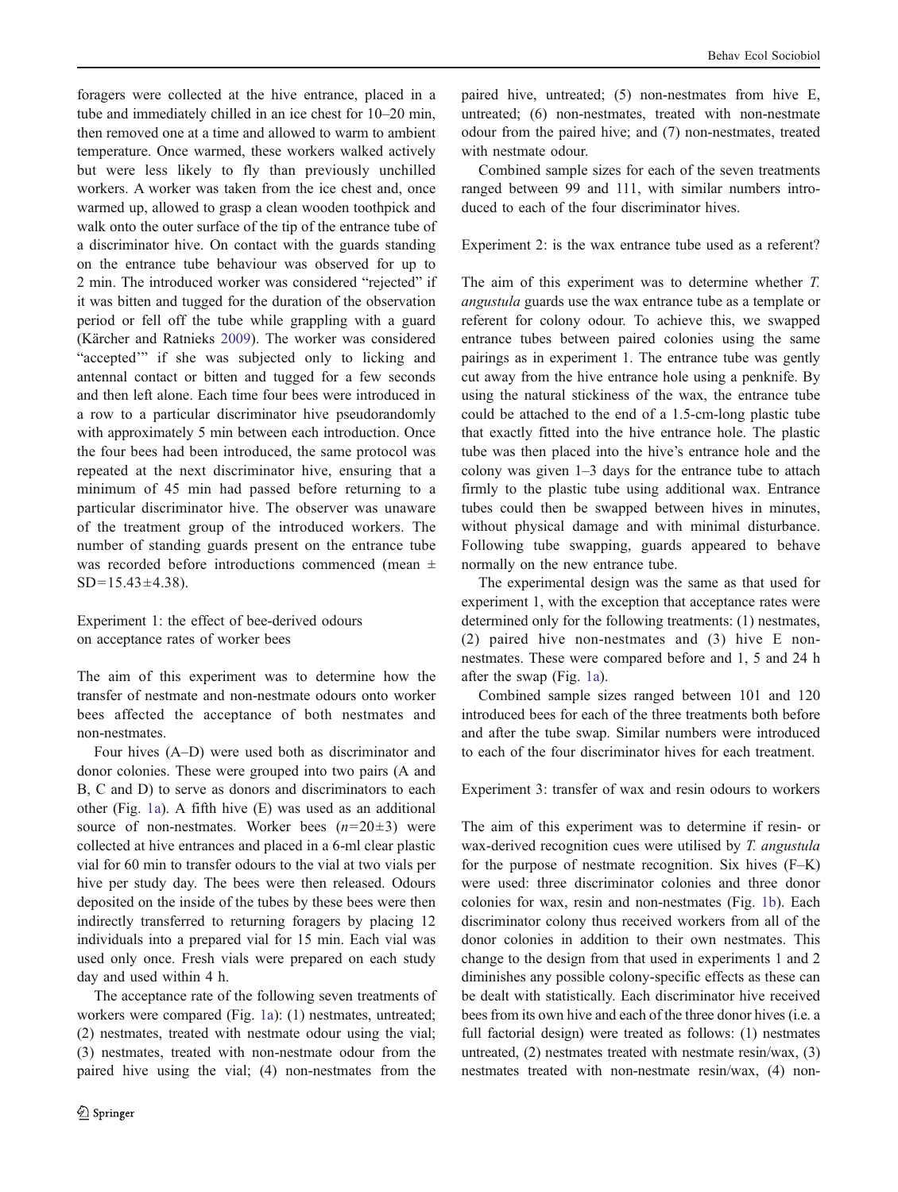foragers were collected at the hive entrance, placed in a tube and immediately chilled in an ice chest for 10–20 min, then removed one at a time and allowed to warm to ambient temperature. Once warmed, these workers walked actively but were less likely to fly than previously unchilled workers. A worker was taken from the ice chest and, once warmed up, allowed to grasp a clean wooden toothpick and walk onto the outer surface of the tip of the entrance tube of a discriminator hive. On contact with the guards standing on the entrance tube behaviour was observed for up to 2 min. The introduced worker was considered "rejected" if it was bitten and tugged for the duration of the observation period or fell off the tube while grappling with a guard (Kärcher and Ratnieks [2009](#page-10-0)). The worker was considered "accepted" if she was subjected only to licking and antennal contact or bitten and tugged for a few seconds and then left alone. Each time four bees were introduced in a row to a particular discriminator hive pseudorandomly with approximately 5 min between each introduction. Once the four bees had been introduced, the same protocol was repeated at the next discriminator hive, ensuring that a minimum of 45 min had passed before returning to a particular discriminator hive. The observer was unaware of the treatment group of the introduced workers. The number of standing guards present on the entrance tube was recorded before introductions commenced (mean ±  $SD=15.43\pm4.38$ ).

Experiment 1: the effect of bee-derived odours on acceptance rates of worker bees

The aim of this experiment was to determine how the transfer of nestmate and non-nestmate odours onto worker bees affected the acceptance of both nestmates and non-nestmates.

Four hives (A–D) were used both as discriminator and donor colonies. These were grouped into two pairs (A and B, C and D) to serve as donors and discriminators to each other (Fig. [1a\)](#page-4-0). A fifth hive (E) was used as an additional source of non-nestmates. Worker bees  $(n=20\pm3)$  were collected at hive entrances and placed in a 6-ml clear plastic vial for 60 min to transfer odours to the vial at two vials per hive per study day. The bees were then released. Odours deposited on the inside of the tubes by these bees were then indirectly transferred to returning foragers by placing 12 individuals into a prepared vial for 15 min. Each vial was used only once. Fresh vials were prepared on each study day and used within 4 h.

The acceptance rate of the following seven treatments of workers were compared (Fig. [1a\)](#page-4-0): (1) nestmates, untreated; (2) nestmates, treated with nestmate odour using the vial; (3) nestmates, treated with non-nestmate odour from the paired hive using the vial; (4) non-nestmates from the

paired hive, untreated; (5) non-nestmates from hive E, untreated; (6) non-nestmates, treated with non-nestmate odour from the paired hive; and (7) non-nestmates, treated with nestmate odour.

Combined sample sizes for each of the seven treatments ranged between 99 and 111, with similar numbers introduced to each of the four discriminator hives.

Experiment 2: is the wax entrance tube used as a referent?

The aim of this experiment was to determine whether T. angustula guards use the wax entrance tube as a template or referent for colony odour. To achieve this, we swapped entrance tubes between paired colonies using the same pairings as in experiment 1. The entrance tube was gently cut away from the hive entrance hole using a penknife. By using the natural stickiness of the wax, the entrance tube could be attached to the end of a 1.5-cm-long plastic tube that exactly fitted into the hive entrance hole. The plastic tube was then placed into the hive's entrance hole and the colony was given 1–3 days for the entrance tube to attach firmly to the plastic tube using additional wax. Entrance tubes could then be swapped between hives in minutes, without physical damage and with minimal disturbance. Following tube swapping, guards appeared to behave normally on the new entrance tube.

The experimental design was the same as that used for experiment 1, with the exception that acceptance rates were determined only for the following treatments: (1) nestmates, (2) paired hive non-nestmates and (3) hive E nonnestmates. These were compared before and 1, 5 and 24 h after the swap (Fig. [1a\)](#page-4-0).

Combined sample sizes ranged between 101 and 120 introduced bees for each of the three treatments both before and after the tube swap. Similar numbers were introduced to each of the four discriminator hives for each treatment.

Experiment 3: transfer of wax and resin odours to workers

The aim of this experiment was to determine if resin- or wax-derived recognition cues were utilised by T. angustula for the purpose of nestmate recognition. Six hives (F–K) were used: three discriminator colonies and three donor colonies for wax, resin and non-nestmates (Fig. [1b](#page-4-0)). Each discriminator colony thus received workers from all of the donor colonies in addition to their own nestmates. This change to the design from that used in experiments 1 and 2 diminishes any possible colony-specific effects as these can be dealt with statistically. Each discriminator hive received bees from its own hive and each of the three donor hives (i.e. a full factorial design) were treated as follows: (1) nestmates untreated, (2) nestmates treated with nestmate resin/wax, (3) nestmates treated with non-nestmate resin/wax, (4) non-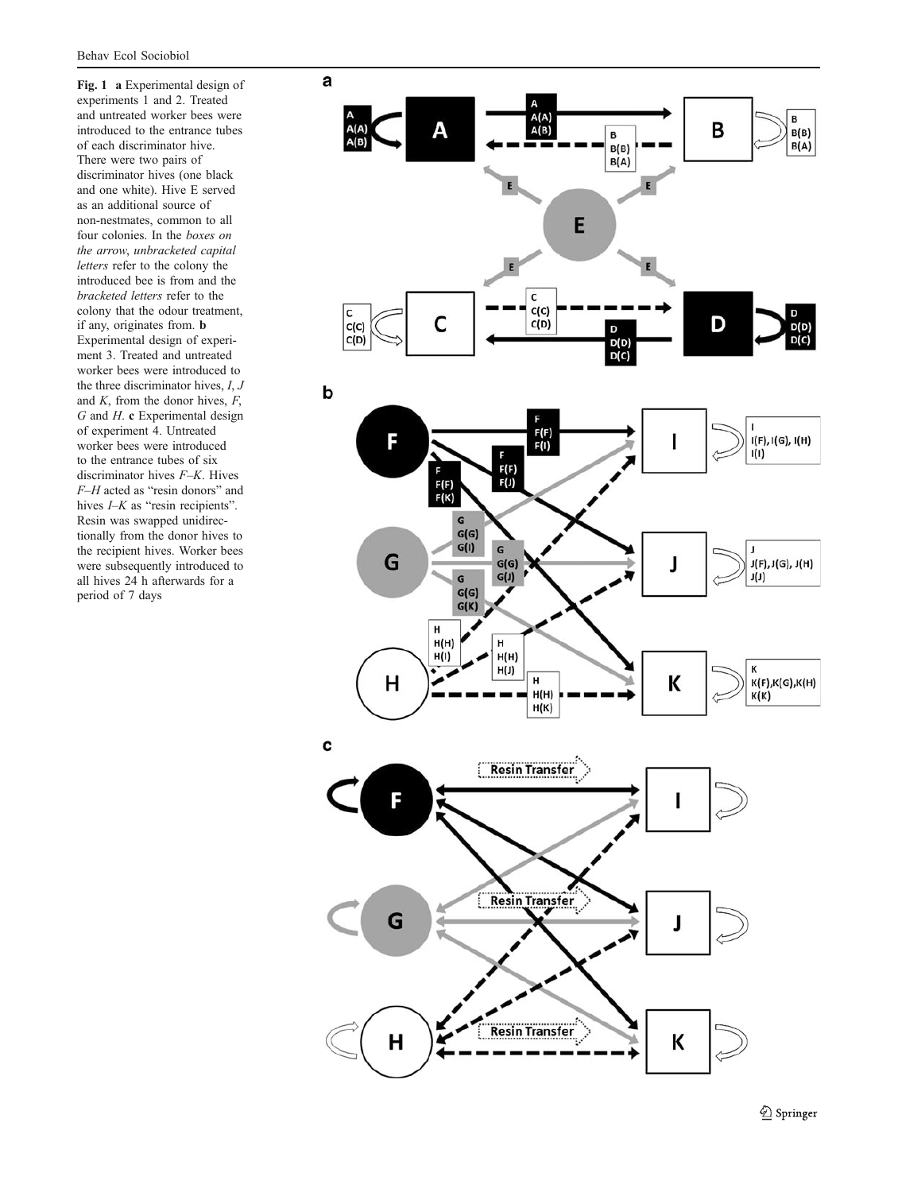<span id="page-4-0"></span>Fig. 1 a Experimental design of experiments 1 and 2. Treated and untreated worker bees were introduced to the entrance tubes of each discriminator hive. There were two pairs of discriminator hives (one black and one white). Hive E served as an additional source of non-nestmates, common to all four colonies. In the boxes on the arrow, unbracketed capital letters refer to the colony the introduced bee is from and the bracketed letters refer to the colony that the odour treatment, if any, originates from. b Experimental design of experiment 3. Treated and untreated worker bees were introduced to the three discriminator hives,  $I, J$ and  $K$ , from the donor hives,  $F$ ,  $G$  and  $H$ . c Experimental design of experiment 4. Untreated worker bees were introduced to the entrance tubes of six discriminator hives F–K. Hives F–H acted as "resin donors" and hives *I–K* as "resin recipients". Resin was swapped unidirectionally from the donor hives to the recipient hives. Worker bees were subsequently introduced to all hives 24 h afterwards for a period of 7 days

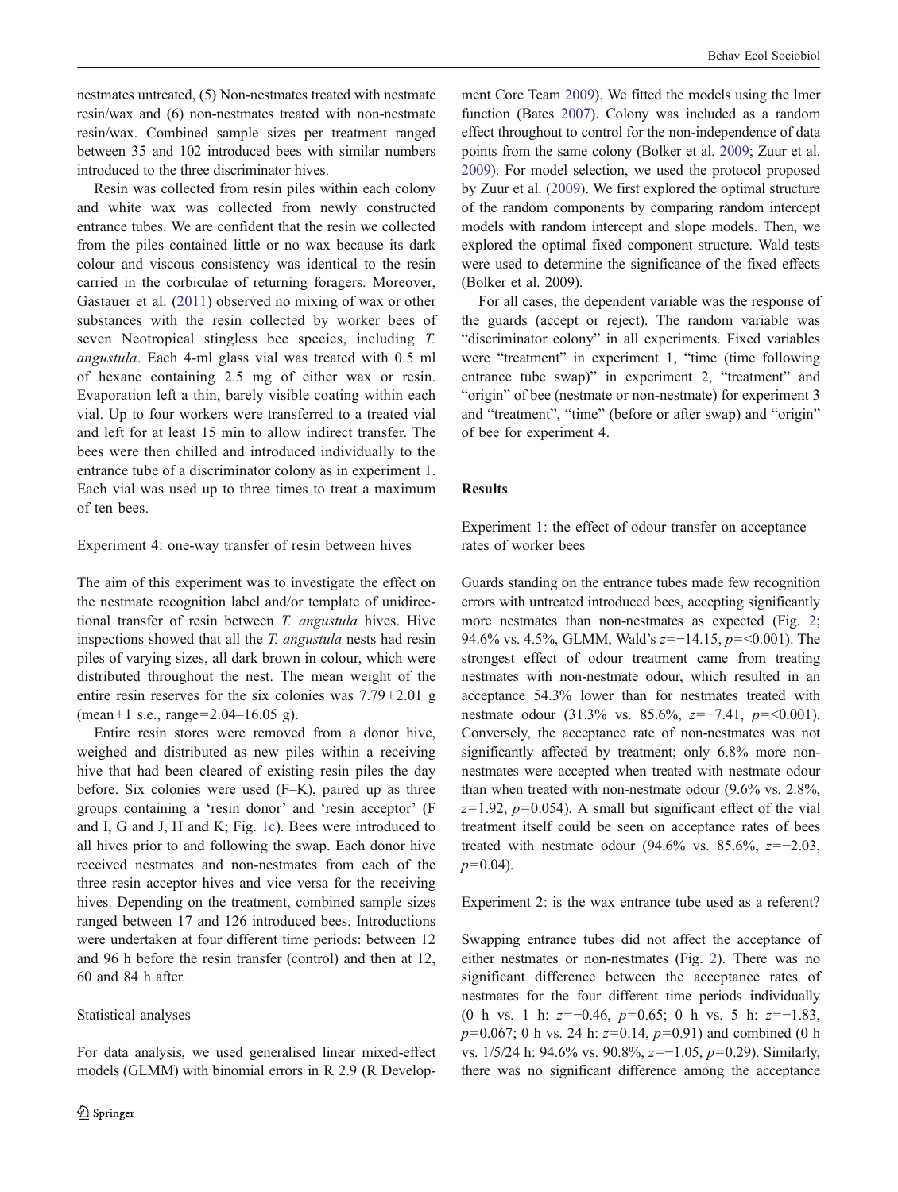nestmates untreated, (5) Non-nestmates treated with nestmate resin/wax and (6) non-nestmates treated with non-nestmate resin/wax. Combined sample sizes per treatment ranged between 35 and 102 introduced bees with similar numbers introduced to the three discriminator hives.

Resin was collected from resin piles within each colony and white wax was collected from newly constructed entrance tubes. We are confident that the resin we collected from the piles contained little or no wax because its dark colour and viscous consistency was identical to the resin carried in the corbiculae of returning foragers. Moreover, Gastauer et al. [\(2011](#page-10-0)) observed no mixing of wax or other substances with the resin collected by worker bees of seven Neotropical stingless bee species, including T. angustula. Each 4-ml glass vial was treated with 0.5 ml of hexane containing 2.5 mg of either wax or resin. Evaporation left a thin, barely visible coating within each vial. Up to four workers were transferred to a treated vial and left for at least 15 min to allow indirect transfer. The bees were then chilled and introduced individually to the entrance tube of a discriminator colony as in experiment 1. Each vial was used up to three times to treat a maximum of ten bees.

## Experiment 4: one-way transfer of resin between hives

The aim of this experiment was to investigate the effect on the nestmate recognition label and/or template of unidirectional transfer of resin between T. angustula hives. Hive inspections showed that all the T. angustula nests had resin piles of varying sizes, all dark brown in colour, which were distributed throughout the nest. The mean weight of the entire resin reserves for the six colonies was 7.79±2.01 g  $(mean \pm 1 \text{ s.e., range} = 2.04 - 16.05 \text{ g}).$ 

Entire resin stores were removed from a donor hive, weighed and distributed as new piles within a receiving hive that had been cleared of existing resin piles the day before. Six colonies were used (F–K), paired up as three groups containing a 'resin donor' and 'resin acceptor' (F and I, G and J, H and K; Fig. [1c\)](#page-4-0). Bees were introduced to all hives prior to and following the swap. Each donor hive received nestmates and non-nestmates from each of the three resin acceptor hives and vice versa for the receiving hives. Depending on the treatment, combined sample sizes ranged between 17 and 126 introduced bees. Introductions were undertaken at four different time periods: between 12 and 96 h before the resin transfer (control) and then at 12, 60 and 84 h after.

## Statistical analyses

For data analysis, we used generalised linear mixed-effect models (GLMM) with binomial errors in R 2.9 (R Develop-

ment Core Team [2009](#page-10-0)). We fitted the models using the lmer function (Bates [2007\)](#page-9-0). Colony was included as a random effect throughout to control for the non-independence of data points from the same colony (Bolker et al. [2009](#page-9-0); Zuur et al. [2009\)](#page-11-0). For model selection, we used the protocol proposed by Zuur et al. [\(2009\)](#page-11-0). We first explored the optimal structure of the random components by comparing random intercept models with random intercept and slope models. Then, we explored the optimal fixed component structure. Wald tests were used to determine the significance of the fixed effects (Bolker et al. 2009).

For all cases, the dependent variable was the response of the guards (accept or reject). The random variable was "discriminator colony" in all experiments. Fixed variables were "treatment" in experiment 1, "time (time following entrance tube swap)" in experiment 2, "treatment" and "origin" of bee (nestmate or non-nestmate) for experiment 3 and "treatment", "time" (before or after swap) and "origin" of bee for experiment 4.

## **Results**

Experiment 1: the effect of odour transfer on acceptance rates of worker bees

Guards standing on the entrance tubes made few recognition errors with untreated introduced bees, accepting significantly more nestmates than non-nestmates as expected (Fig. [2;](#page-6-0) 94.6% vs. 4.5%, GLMM, Wald's  $z=-14.15$ ,  $p=<0.001$ ). The strongest effect of odour treatment came from treating nestmates with non-nestmate odour, which resulted in an acceptance 54.3% lower than for nestmates treated with nestmate odour (31.3% vs. 85.6%,  $z=-7.41$ ,  $p=<0.001$ ). Conversely, the acceptance rate of non-nestmates was not significantly affected by treatment; only 6.8% more nonnestmates were accepted when treated with nestmate odour than when treated with non-nestmate odour (9.6% vs. 2.8%,  $z=1.92$ ,  $p=0.054$ ). A small but significant effect of the vial treatment itself could be seen on acceptance rates of bees treated with nestmate odour (94.6% vs. 85.6%,  $z=-2.03$ ,  $p=0.04$ ).

Experiment 2: is the wax entrance tube used as a referent?

Swapping entrance tubes did not affect the acceptance of either nestmates or non-nestmates (Fig. [2\)](#page-6-0). There was no significant difference between the acceptance rates of nestmates for the four different time periods individually (0 h vs. 1 h:  $z=-0.46$ ,  $p=0.65$ ; 0 h vs. 5 h:  $z=-1.83$ ,  $p=0.067$ ; 0 h vs. 24 h:  $z=0.14$ ,  $p=0.91$ ) and combined (0 h vs. 1/5/24 h: 94.6% vs. 90.8%, z=−1.05, p=0.29). Similarly, there was no significant difference among the acceptance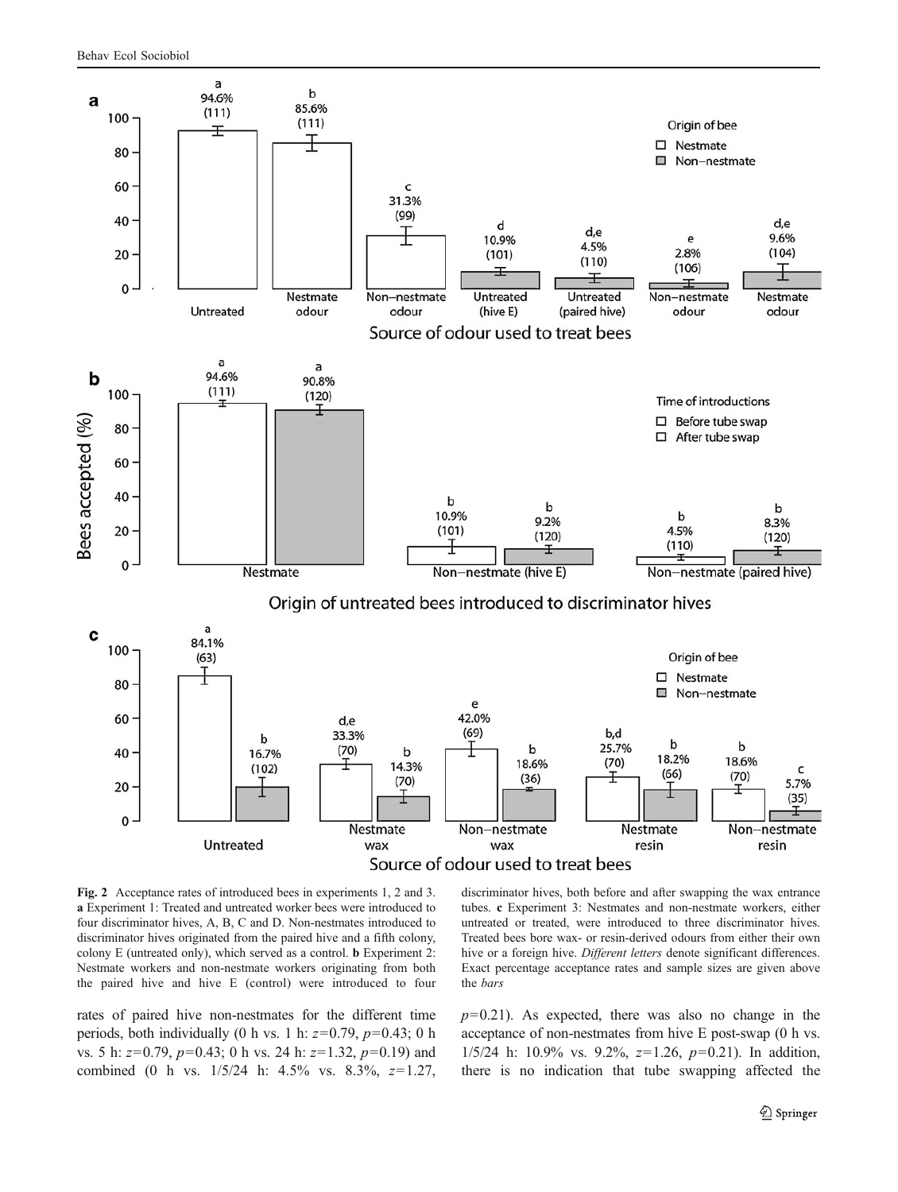<span id="page-6-0"></span>

Fig. 2 Acceptance rates of introduced bees in experiments 1, 2 and 3. a Experiment 1: Treated and untreated worker bees were introduced to four discriminator hives, A, B, C and D. Non-nestmates introduced to discriminator hives originated from the paired hive and a fifth colony, colony E (untreated only), which served as a control. b Experiment 2: Nestmate workers and non-nestmate workers originating from both the paired hive and hive E (control) were introduced to four

rates of paired hive non-nestmates for the different time periods, both individually (0 h vs. 1 h:  $z=0.79$ ,  $p=0.43$ ; 0 h vs. 5 h:  $z=0.79$ ,  $p=0.43$ ; 0 h vs. 24 h:  $z=1.32$ ,  $p=0.19$ ) and combined (0 h vs. 1/5/24 h: 4.5% vs. 8.3%, z=1.27, discriminator hives, both before and after swapping the wax entrance tubes. c Experiment 3: Nestmates and non-nestmate workers, either untreated or treated, were introduced to three discriminator hives. Treated bees bore wax- or resin-derived odours from either their own hive or a foreign hive. Different letters denote significant differences. Exact percentage acceptance rates and sample sizes are given above the bars

 $p=0.21$ ). As expected, there was also no change in the acceptance of non-nestmates from hive E post-swap (0 h vs. 1/5/24 h: 10.9% vs. 9.2%,  $z=1.26$ ,  $p=0.21$ ). In addition, there is no indication that tube swapping affected the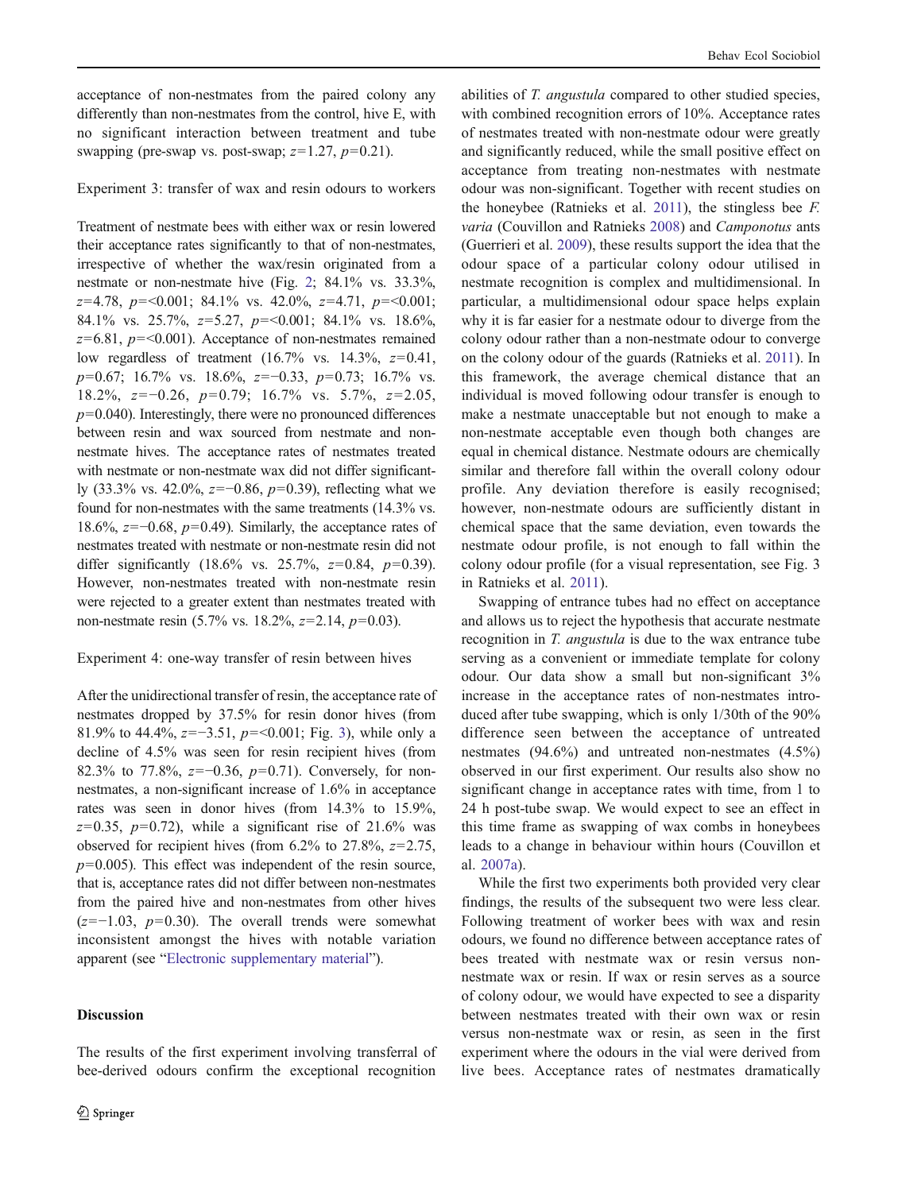acceptance of non-nestmates from the paired colony any differently than non-nestmates from the control, hive E, with no significant interaction between treatment and tube swapping (pre-swap vs. post-swap;  $z=1.27$ ,  $p=0.21$ ).

Experiment 3: transfer of wax and resin odours to workers

Treatment of nestmate bees with either wax or resin lowered their acceptance rates significantly to that of non-nestmates, irrespective of whether the wax/resin originated from a nestmate or non-nestmate hive (Fig. [2](#page-6-0); 84.1% vs. 33.3%,  $z=4.78$ ,  $p=<0.001$ ;  $84.1\%$  vs.  $42.0\%$ ,  $z=4.71$ ,  $p=<0.001$ ; 84.1% vs. 25.7%,  $z=5.27$ ,  $p=<0.001$ ; 84.1% vs. 18.6%,  $z=6.81$ ,  $p=<0.001$ ). Acceptance of non-nestmates remained low regardless of treatment  $(16.7\%$  vs.  $14.3\%$ ,  $z=0.41$ ,  $p=0.67$ ; 16.7% vs. 18.6%,  $z=-0.33$ ,  $p=0.73$ ; 16.7% vs. 18.2%, z=−0.26, p=0.79; 16.7% vs. 5.7%, z=2.05,  $p=0.040$ ). Interestingly, there were no pronounced differences between resin and wax sourced from nestmate and nonnestmate hives. The acceptance rates of nestmates treated with nestmate or non-nestmate wax did not differ significantly (33.3% vs. 42.0%,  $z=-0.86$ ,  $p=0.39$ ), reflecting what we found for non-nestmates with the same treatments (14.3% vs. 18.6%,  $z=-0.68$ ,  $p=0.49$ ). Similarly, the acceptance rates of nestmates treated with nestmate or non-nestmate resin did not differ significantly  $(18.6\% \text{ vs. } 25.7\%, z=0.84, p=0.39)$ . However, non-nestmates treated with non-nestmate resin were rejected to a greater extent than nestmates treated with non-nestmate resin (5.7% vs. 18.2%,  $z=2.14$ ,  $p=0.03$ ).

## Experiment 4: one-way transfer of resin between hives

After the unidirectional transfer of resin, the acceptance rate of nestmates dropped by 37.5% for resin donor hives (from 81.9% to 44.4%,  $z=-3.51$ ,  $p=<0.001$ ; Fig. [3\)](#page-8-0), while only a decline of 4.5% was seen for resin recipient hives (from 82.3% to 77.8%, z=−0.36, p=0.71). Conversely, for nonnestmates, a non-significant increase of 1.6% in acceptance rates was seen in donor hives (from 14.3% to 15.9%,  $z=0.35$ ,  $p=0.72$ ), while a significant rise of 21.6% was observed for recipient hives (from  $6.2\%$  to  $27.8\%$ ,  $z=2.75$ ,  $p=0.005$ ). This effect was independent of the resin source, that is, acceptance rates did not differ between non-nestmates from the paired hive and non-nestmates from other hives  $(z=-1.03, p=0.30)$ . The overall trends were somewhat inconsistent amongst the hives with notable variation apparent (see "Electronic supplementary material").

## Discussion

The results of the first experiment involving transferral of bee-derived odours confirm the exceptional recognition

abilities of T. *angustula* compared to other studied species, with combined recognition errors of 10%. Acceptance rates of nestmates treated with non-nestmate odour were greatly and significantly reduced, while the small positive effect on acceptance from treating non-nestmates with nestmate odour was non-significant. Together with recent studies on the honeybee (Ratnieks et al. [2011](#page-10-0)), the stingless bee F. varia (Couvillon and Ratnieks [2008](#page-9-0)) and Camponotus ants (Guerrieri et al. [2009\)](#page-10-0), these results support the idea that the odour space of a particular colony odour utilised in nestmate recognition is complex and multidimensional. In particular, a multidimensional odour space helps explain why it is far easier for a nestmate odour to diverge from the colony odour rather than a non-nestmate odour to converge on the colony odour of the guards (Ratnieks et al. [2011](#page-10-0)). In this framework, the average chemical distance that an individual is moved following odour transfer is enough to make a nestmate unacceptable but not enough to make a non-nestmate acceptable even though both changes are equal in chemical distance. Nestmate odours are chemically similar and therefore fall within the overall colony odour profile. Any deviation therefore is easily recognised; however, non-nestmate odours are sufficiently distant in chemical space that the same deviation, even towards the nestmate odour profile, is not enough to fall within the colony odour profile (for a visual representation, see Fig. 3 in Ratnieks et al. [2011\)](#page-10-0).

Swapping of entrance tubes had no effect on acceptance and allows us to reject the hypothesis that accurate nestmate recognition in T. angustula is due to the wax entrance tube serving as a convenient or immediate template for colony odour. Our data show a small but non-significant 3% increase in the acceptance rates of non-nestmates introduced after tube swapping, which is only 1/30th of the 90% difference seen between the acceptance of untreated nestmates (94.6%) and untreated non-nestmates (4.5%) observed in our first experiment. Our results also show no significant change in acceptance rates with time, from 1 to 24 h post-tube swap. We would expect to see an effect in this time frame as swapping of wax combs in honeybees leads to a change in behaviour within hours (Couvillon et al. [2007a](#page-10-0)).

While the first two experiments both provided very clear findings, the results of the subsequent two were less clear. Following treatment of worker bees with wax and resin odours, we found no difference between acceptance rates of bees treated with nestmate wax or resin versus nonnestmate wax or resin. If wax or resin serves as a source of colony odour, we would have expected to see a disparity between nestmates treated with their own wax or resin versus non-nestmate wax or resin, as seen in the first experiment where the odours in the vial were derived from live bees. Acceptance rates of nestmates dramatically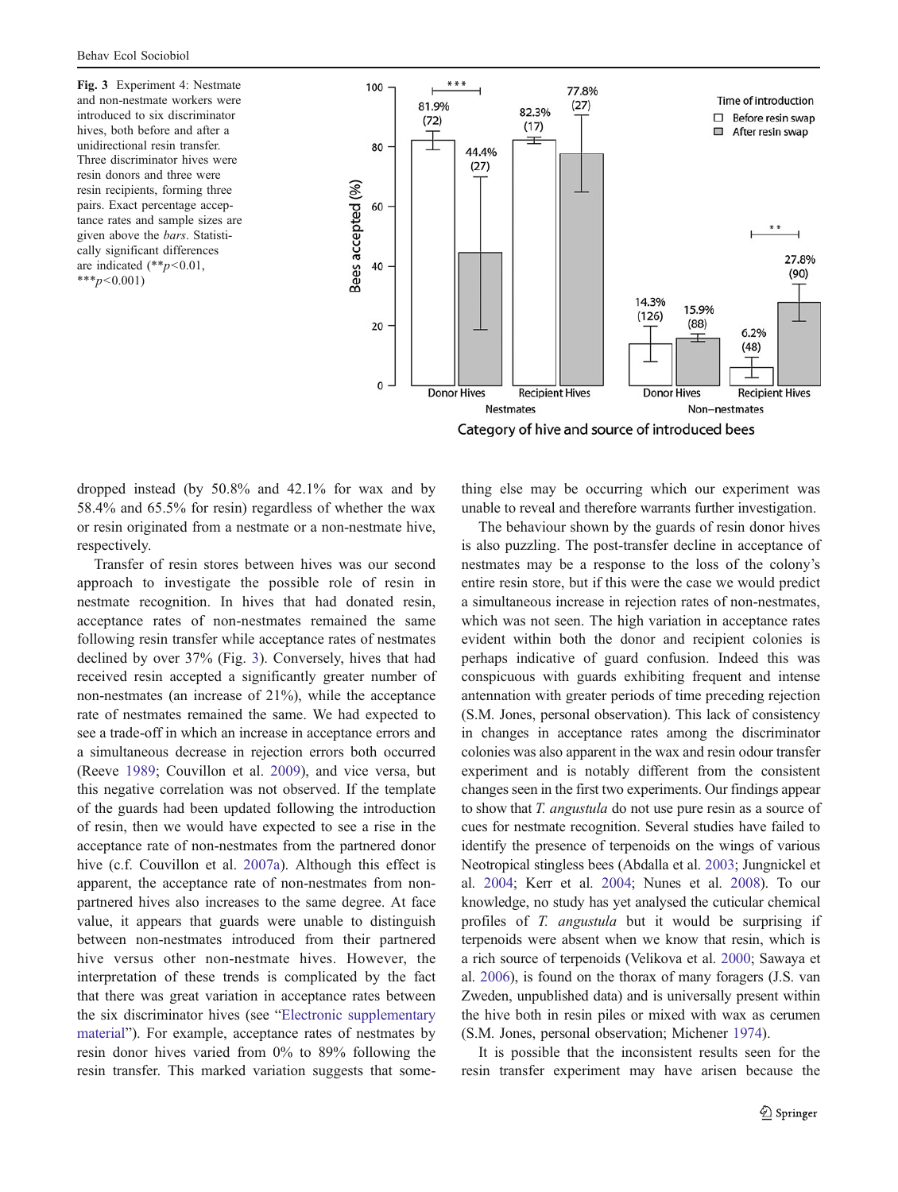<span id="page-8-0"></span>Fig. 3 Experiment 4: Nestmate and non-nestmate workers were introduced to six discriminator hives, both before and after a unidirectional resin transfer. Three discriminator hives were resin donors and three were resin recipients, forming three pairs. Exact percentage acceptance rates and sample sizes are given above the bars. Statistically significant differences are indicated  $(*p<0.01,$ \*\*\* $p < 0.001$ )



Category of hive and source of introduced bees

dropped instead (by 50.8% and 42.1% for wax and by 58.4% and 65.5% for resin) regardless of whether the wax or resin originated from a nestmate or a non-nestmate hive, respectively.

Transfer of resin stores between hives was our second approach to investigate the possible role of resin in nestmate recognition. In hives that had donated resin, acceptance rates of non-nestmates remained the same following resin transfer while acceptance rates of nestmates declined by over 37% (Fig. 3). Conversely, hives that had received resin accepted a significantly greater number of non-nestmates (an increase of 21%), while the acceptance rate of nestmates remained the same. We had expected to see a trade-off in which an increase in acceptance errors and a simultaneous decrease in rejection errors both occurred (Reeve [1989](#page-10-0); Couvillon et al. [2009](#page-10-0)), and vice versa, but this negative correlation was not observed. If the template of the guards had been updated following the introduction of resin, then we would have expected to see a rise in the acceptance rate of non-nestmates from the partnered donor hive (c.f. Couvillon et al. [2007a\)](#page-10-0). Although this effect is apparent, the acceptance rate of non-nestmates from nonpartnered hives also increases to the same degree. At face value, it appears that guards were unable to distinguish between non-nestmates introduced from their partnered hive versus other non-nestmate hives. However, the interpretation of these trends is complicated by the fact that there was great variation in acceptance rates between the six discriminator hives (see "Electronic supplementary material"). For example, acceptance rates of nestmates by resin donor hives varied from 0% to 89% following the resin transfer. This marked variation suggests that something else may be occurring which our experiment was unable to reveal and therefore warrants further investigation.

The behaviour shown by the guards of resin donor hives is also puzzling. The post-transfer decline in acceptance of nestmates may be a response to the loss of the colony's entire resin store, but if this were the case we would predict a simultaneous increase in rejection rates of non-nestmates, which was not seen. The high variation in acceptance rates evident within both the donor and recipient colonies is perhaps indicative of guard confusion. Indeed this was conspicuous with guards exhibiting frequent and intense antennation with greater periods of time preceding rejection (S.M. Jones, personal observation). This lack of consistency in changes in acceptance rates among the discriminator colonies was also apparent in the wax and resin odour transfer experiment and is notably different from the consistent changes seen in the first two experiments. Our findings appear to show that T. angustula do not use pure resin as a source of cues for nestmate recognition. Several studies have failed to identify the presence of terpenoids on the wings of various Neotropical stingless bees (Abdalla et al. [2003](#page-9-0); Jungnickel et al. [2004;](#page-10-0) Kerr et al. [2004;](#page-10-0) Nunes et al. [2008](#page-10-0)). To our knowledge, no study has yet analysed the cuticular chemical profiles of T. angustula but it would be surprising if terpenoids were absent when we know that resin, which is a rich source of terpenoids (Velikova et al. [2000;](#page-11-0) Sawaya et al. [2006](#page-10-0)), is found on the thorax of many foragers (J.S. van Zweden, unpublished data) and is universally present within the hive both in resin piles or mixed with wax as cerumen (S.M. Jones, personal observation; Michener [1974\)](#page-10-0).

It is possible that the inconsistent results seen for the resin transfer experiment may have arisen because the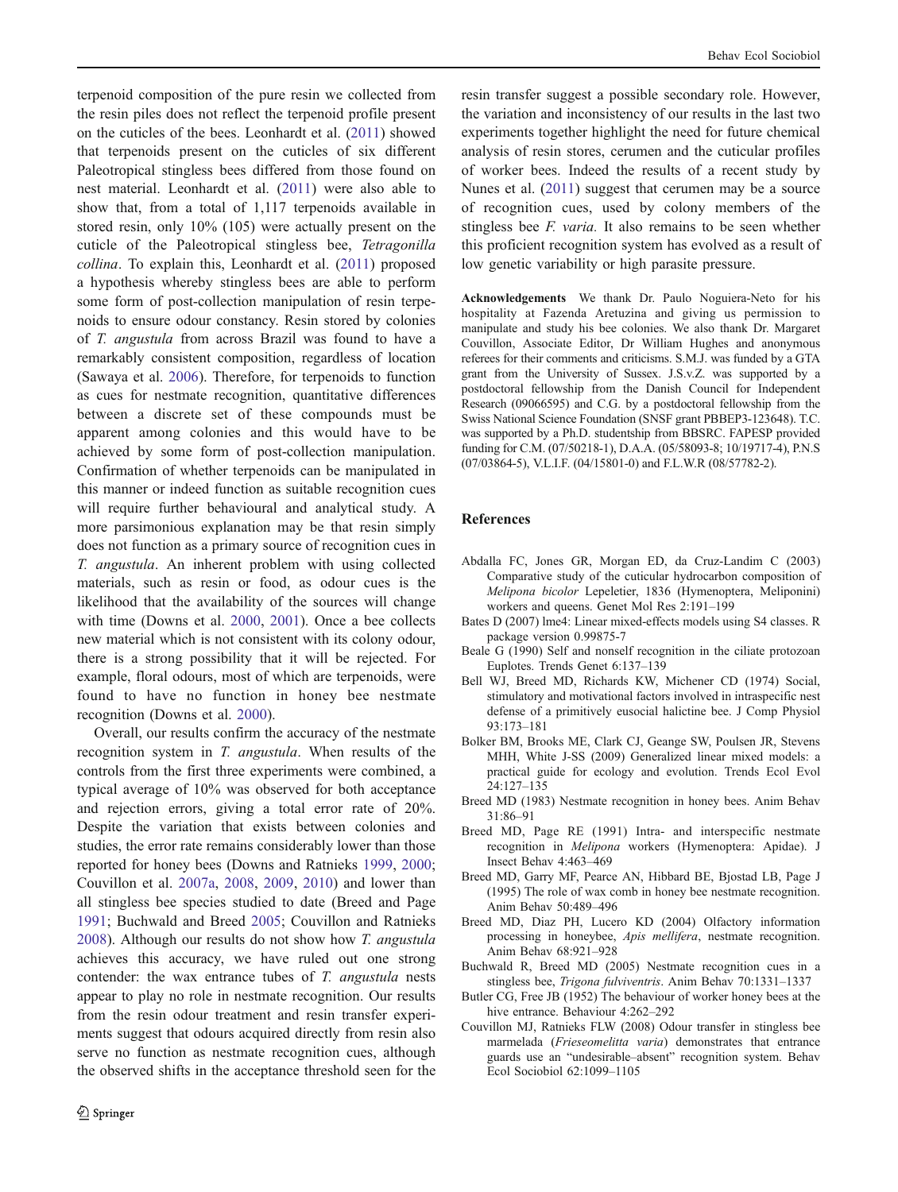<span id="page-9-0"></span>terpenoid composition of the pure resin we collected from the resin piles does not reflect the terpenoid profile present on the cuticles of the bees. Leonhardt et al. ([2011](#page-10-0)) showed that terpenoids present on the cuticles of six different Paleotropical stingless bees differed from those found on nest material. Leonhardt et al. [\(2011\)](#page-10-0) were also able to show that, from a total of 1,117 terpenoids available in stored resin, only 10% (105) were actually present on the cuticle of the Paleotropical stingless bee, Tetragonilla collina. To explain this, Leonhardt et al. ([2011](#page-10-0)) proposed a hypothesis whereby stingless bees are able to perform some form of post-collection manipulation of resin terpenoids to ensure odour constancy. Resin stored by colonies of T. angustula from across Brazil was found to have a remarkably consistent composition, regardless of location (Sawaya et al. [2006\)](#page-10-0). Therefore, for terpenoids to function as cues for nestmate recognition, quantitative differences between a discrete set of these compounds must be apparent among colonies and this would have to be achieved by some form of post-collection manipulation. Confirmation of whether terpenoids can be manipulated in this manner or indeed function as suitable recognition cues will require further behavioural and analytical study. A more parsimonious explanation may be that resin simply does not function as a primary source of recognition cues in T. angustula. An inherent problem with using collected materials, such as resin or food, as odour cues is the likelihood that the availability of the sources will change with time (Downs et al. [2000,](#page-10-0) [2001](#page-10-0)). Once a bee collects new material which is not consistent with its colony odour, there is a strong possibility that it will be rejected. For example, floral odours, most of which are terpenoids, were found to have no function in honey bee nestmate recognition (Downs et al. [2000](#page-10-0)).

Overall, our results confirm the accuracy of the nestmate recognition system in T. angustula. When results of the controls from the first three experiments were combined, a typical average of 10% was observed for both acceptance and rejection errors, giving a total error rate of 20%. Despite the variation that exists between colonies and studies, the error rate remains considerably lower than those reported for honey bees (Downs and Ratnieks [1999,](#page-10-0) [2000](#page-10-0); Couvillon et al. [2007a,](#page-10-0) [2008,](#page-10-0) [2009,](#page-10-0) [2010](#page-10-0)) and lower than all stingless bee species studied to date (Breed and Page 1991; Buchwald and Breed 2005; Couvillon and Ratnieks 2008). Although our results do not show how T. angustula achieves this accuracy, we have ruled out one strong contender: the wax entrance tubes of T. angustula nests appear to play no role in nestmate recognition. Our results from the resin odour treatment and resin transfer experiments suggest that odours acquired directly from resin also serve no function as nestmate recognition cues, although the observed shifts in the acceptance threshold seen for the

resin transfer suggest a possible secondary role. However, the variation and inconsistency of our results in the last two experiments together highlight the need for future chemical analysis of resin stores, cerumen and the cuticular profiles of worker bees. Indeed the results of a recent study by Nunes et al. ([2011](#page-10-0)) suggest that cerumen may be a source of recognition cues, used by colony members of the stingless bee F. varia. It also remains to be seen whether this proficient recognition system has evolved as a result of low genetic variability or high parasite pressure.

Acknowledgements We thank Dr. Paulo Noguiera-Neto for his hospitality at Fazenda Aretuzina and giving us permission to manipulate and study his bee colonies. We also thank Dr. Margaret Couvillon, Associate Editor, Dr William Hughes and anonymous referees for their comments and criticisms. S.M.J. was funded by a GTA grant from the University of Sussex. J.S.v.Z. was supported by a postdoctoral fellowship from the Danish Council for Independent Research (09066595) and C.G. by a postdoctoral fellowship from the Swiss National Science Foundation (SNSF grant PBBEP3-123648). T.C. was supported by a Ph.D. studentship from BBSRC. FAPESP provided funding for C.M. (07/50218-1), D.A.A. (05/58093-8; 10/19717-4), P.N.S (07/03864-5), V.L.I.F. (04/15801-0) and F.L.W.R (08/57782-2).

### References

- Abdalla FC, Jones GR, Morgan ED, da Cruz-Landim C (2003) Comparative study of the cuticular hydrocarbon composition of Melipona bicolor Lepeletier, 1836 (Hymenoptera, Meliponini) workers and queens. Genet Mol Res 2:191–199
- Bates D (2007) lme4: Linear mixed-effects models using S4 classes. R package version 0.99875-7
- Beale G (1990) Self and nonself recognition in the ciliate protozoan Euplotes. Trends Genet 6:137–139
- Bell WJ, Breed MD, Richards KW, Michener CD (1974) Social, stimulatory and motivational factors involved in intraspecific nest defense of a primitively eusocial halictine bee. J Comp Physiol 93:173–181
- Bolker BM, Brooks ME, Clark CJ, Geange SW, Poulsen JR, Stevens MHH, White J-SS (2009) Generalized linear mixed models: a practical guide for ecology and evolution. Trends Ecol Evol 24:127–135
- Breed MD (1983) Nestmate recognition in honey bees. Anim Behav 31:86–91
- Breed MD, Page RE (1991) Intra- and interspecific nestmate recognition in Melipona workers (Hymenoptera: Apidae). J Insect Behav 4:463–469
- Breed MD, Garry MF, Pearce AN, Hibbard BE, Bjostad LB, Page J (1995) The role of wax comb in honey bee nestmate recognition. Anim Behav 50:489–496
- Breed MD, Diaz PH, Lucero KD (2004) Olfactory information processing in honeybee, Apis mellifera, nestmate recognition. Anim Behav 68:921–928
- Buchwald R, Breed MD (2005) Nestmate recognition cues in a stingless bee, Trigona fulviventris. Anim Behav 70:1331–1337
- Butler CG, Free JB (1952) The behaviour of worker honey bees at the hive entrance. Behaviour 4:262–292
- Couvillon MJ, Ratnieks FLW (2008) Odour transfer in stingless bee marmelada (Frieseomelitta varia) demonstrates that entrance guards use an "undesirable–absent" recognition system. Behav Ecol Sociobiol 62:1099–1105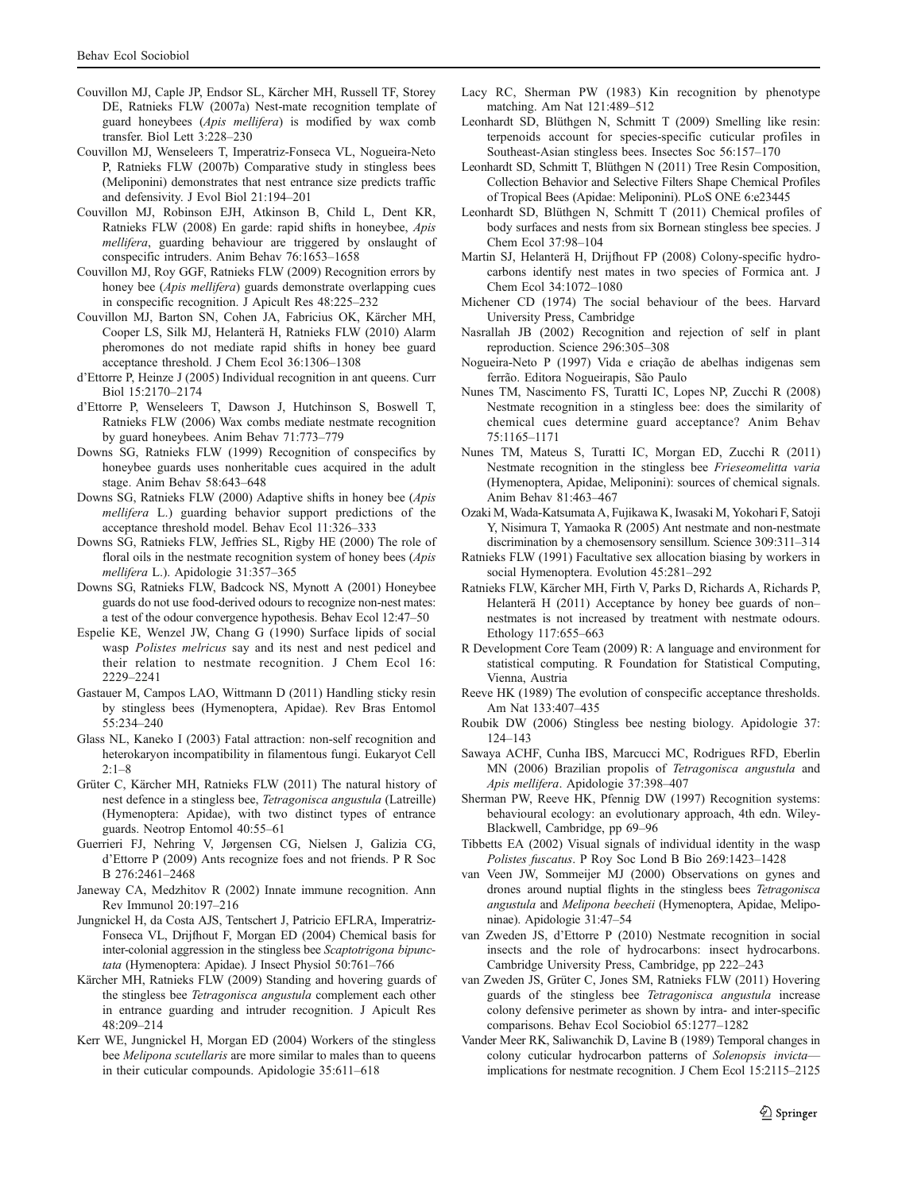- <span id="page-10-0"></span>Couvillon MJ, Caple JP, Endsor SL, Kärcher MH, Russell TF, Storey DE, Ratnieks FLW (2007a) Nest-mate recognition template of guard honeybees (Apis mellifera) is modified by wax comb transfer. Biol Lett 3:228–230
- Couvillon MJ, Wenseleers T, Imperatriz-Fonseca VL, Nogueira-Neto P, Ratnieks FLW (2007b) Comparative study in stingless bees (Meliponini) demonstrates that nest entrance size predicts traffic and defensivity. J Evol Biol 21:194–201
- Couvillon MJ, Robinson EJH, Atkinson B, Child L, Dent KR, Ratnieks FLW (2008) En garde: rapid shifts in honeybee, Apis mellifera, guarding behaviour are triggered by onslaught of conspecific intruders. Anim Behav 76:1653–1658
- Couvillon MJ, Roy GGF, Ratnieks FLW (2009) Recognition errors by honey bee (Apis mellifera) guards demonstrate overlapping cues in conspecific recognition. J Apicult Res 48:225–232
- Couvillon MJ, Barton SN, Cohen JA, Fabricius OK, Kärcher MH, Cooper LS, Silk MJ, Helanterä H, Ratnieks FLW (2010) Alarm pheromones do not mediate rapid shifts in honey bee guard acceptance threshold. J Chem Ecol 36:1306–1308
- d'Ettorre P, Heinze J (2005) Individual recognition in ant queens. Curr Biol 15:2170–2174
- d'Ettorre P, Wenseleers T, Dawson J, Hutchinson S, Boswell T, Ratnieks FLW (2006) Wax combs mediate nestmate recognition by guard honeybees. Anim Behav 71:773–779
- Downs SG, Ratnieks FLW (1999) Recognition of conspecifics by honeybee guards uses nonheritable cues acquired in the adult stage. Anim Behav 58:643–648
- Downs SG, Ratnieks FLW (2000) Adaptive shifts in honey bee (Apis mellifera L.) guarding behavior support predictions of the acceptance threshold model. Behav Ecol 11:326–333
- Downs SG, Ratnieks FLW, Jeffries SL, Rigby HE (2000) The role of floral oils in the nestmate recognition system of honey bees (Apis mellifera L.). Apidologie 31:357–365
- Downs SG, Ratnieks FLW, Badcock NS, Mynott A (2001) Honeybee guards do not use food-derived odours to recognize non-nest mates: a test of the odour convergence hypothesis. Behav Ecol 12:47–50
- Espelie KE, Wenzel JW, Chang G (1990) Surface lipids of social wasp Polistes melricus say and its nest and nest pedicel and their relation to nestmate recognition. J Chem Ecol 16: 2229–2241
- Gastauer M, Campos LAO, Wittmann D (2011) Handling sticky resin by stingless bees (Hymenoptera, Apidae). Rev Bras Entomol 55:234–240
- Glass NL, Kaneko I (2003) Fatal attraction: non-self recognition and heterokaryon incompatibility in filamentous fungi. Eukaryot Cell 2:1–8
- Grüter C, Kärcher MH, Ratnieks FLW (2011) The natural history of nest defence in a stingless bee, Tetragonisca angustula (Latreille) (Hymenoptera: Apidae), with two distinct types of entrance guards. Neotrop Entomol 40:55–61
- Guerrieri FJ, Nehring V, Jørgensen CG, Nielsen J, Galizia CG, d'Ettorre P (2009) Ants recognize foes and not friends. P R Soc B 276:2461–2468
- Janeway CA, Medzhitov R (2002) Innate immune recognition. Ann Rev Immunol 20:197–216
- Jungnickel H, da Costa AJS, Tentschert J, Patricio EFLRA, Imperatriz-Fonseca VL, Drijfhout F, Morgan ED (2004) Chemical basis for inter-colonial aggression in the stingless bee Scaptotrigona bipunctata (Hymenoptera: Apidae). J Insect Physiol 50:761–766
- Kärcher MH, Ratnieks FLW (2009) Standing and hovering guards of the stingless bee Tetragonisca angustula complement each other in entrance guarding and intruder recognition. J Apicult Res 48:209–214
- Kerr WE, Jungnickel H, Morgan ED (2004) Workers of the stingless bee *Melipona scutellaris* are more similar to males than to queens in their cuticular compounds. Apidologie 35:611–618
- Lacy RC, Sherman PW (1983) Kin recognition by phenotype matching. Am Nat 121:489–512
- Leonhardt SD, Blüthgen N, Schmitt T (2009) Smelling like resin: terpenoids account for species-specific cuticular profiles in Southeast-Asian stingless bees. Insectes Soc 56:157–170
- Leonhardt SD, Schmitt T, Blüthgen N (2011) Tree Resin Composition, Collection Behavior and Selective Filters Shape Chemical Profiles of Tropical Bees (Apidae: Meliponini). PLoS ONE 6:e23445
- Leonhardt SD, Blüthgen N, Schmitt T (2011) Chemical profiles of body surfaces and nests from six Bornean stingless bee species. J Chem Ecol 37:98–104
- Martin SJ, Helanterä H, Drijfhout FP (2008) Colony-specific hydrocarbons identify nest mates in two species of Formica ant. J Chem Ecol 34:1072–1080
- Michener CD (1974) The social behaviour of the bees. Harvard University Press, Cambridge
- Nasrallah JB (2002) Recognition and rejection of self in plant reproduction. Science 296:305–308
- Nogueira-Neto P (1997) Vida e criação de abelhas indigenas sem ferrão. Editora Nogueirapis, São Paulo
- Nunes TM, Nascimento FS, Turatti IC, Lopes NP, Zucchi R (2008) Nestmate recognition in a stingless bee: does the similarity of chemical cues determine guard acceptance? Anim Behav 75:1165–1171
- Nunes TM, Mateus S, Turatti IC, Morgan ED, Zucchi R (2011) Nestmate recognition in the stingless bee Frieseomelitta varia (Hymenoptera, Apidae, Meliponini): sources of chemical signals. Anim Behav 81:463–467
- Ozaki M, Wada-Katsumata A, Fujikawa K, Iwasaki M, Yokohari F, Satoji Y, Nisimura T, Yamaoka R (2005) Ant nestmate and non-nestmate discrimination by a chemosensory sensillum. Science 309:311–314
- Ratnieks FLW (1991) Facultative sex allocation biasing by workers in social Hymenoptera. Evolution 45:281–292
- Ratnieks FLW, Kärcher MH, Firth V, Parks D, Richards A, Richards P, Helanterä H (2011) Acceptance by honey bee guards of non– nestmates is not increased by treatment with nestmate odours. Ethology 117:655–663
- R Development Core Team (2009) R: A language and environment for statistical computing. R Foundation for Statistical Computing, Vienna, Austria
- Reeve HK (1989) The evolution of conspecific acceptance thresholds. Am Nat 133:407–435
- Roubik DW (2006) Stingless bee nesting biology. Apidologie 37: 124–143
- Sawaya ACHF, Cunha IBS, Marcucci MC, Rodrigues RFD, Eberlin MN (2006) Brazilian propolis of Tetragonisca angustula and Apis mellifera. Apidologie 37:398–407
- Sherman PW, Reeve HK, Pfennig DW (1997) Recognition systems: behavioural ecology: an evolutionary approach, 4th edn. Wiley-Blackwell, Cambridge, pp 69–96
- Tibbetts EA (2002) Visual signals of individual identity in the wasp Polistes fuscatus. P Roy Soc Lond B Bio 269:1423–1428
- van Veen JW, Sommeijer MJ (2000) Observations on gynes and drones around nuptial flights in the stingless bees Tetragonisca angustula and Melipona beecheii (Hymenoptera, Apidae, Meliponinae). Apidologie 31:47–54
- van Zweden JS, d'Ettorre P (2010) Nestmate recognition in social insects and the role of hydrocarbons: insect hydrocarbons. Cambridge University Press, Cambridge, pp 222–243
- van Zweden JS, Grüter C, Jones SM, Ratnieks FLW (2011) Hovering guards of the stingless bee Tetragonisca angustula increase colony defensive perimeter as shown by intra- and inter-specific comparisons. Behav Ecol Sociobiol 65:1277–1282
- Vander Meer RK, Saliwanchik D, Lavine B (1989) Temporal changes in colony cuticular hydrocarbon patterns of Solenopsis invicta implications for nestmate recognition. J Chem Ecol 15:2115–2125